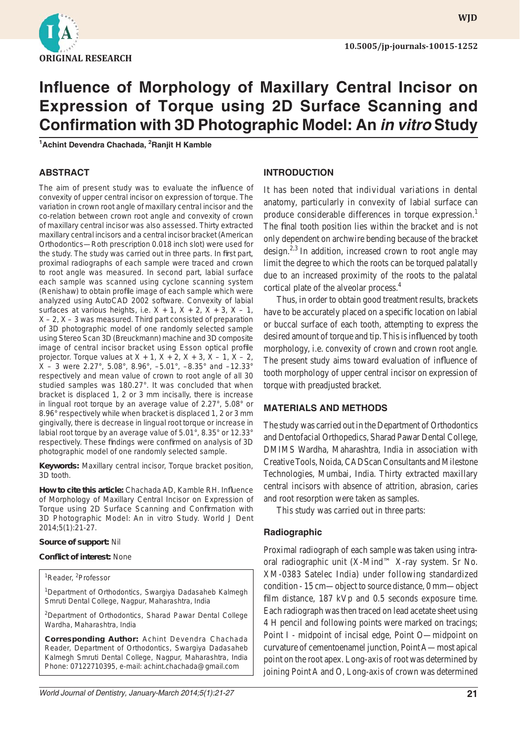

**WJD**

# **Influence of Morphology of Maxillary Central Incisor on Expression of Torque using 2D Surface Scanning and Confirmation with 3D Photographic Model: An** *in vitro* **Study**

**1 Achint Devendra Chachada, <sup>2</sup> Ranjit H Kamble**

## **ABSTRACT**

The aim of present study was to evaluate the influence of convexity of upper central incisor on expression of torque. The variation in crown root angle of maxillary central incisor and the co-relation between crown root angle and convexity of crown of maxillary central incisor was also assessed. Thirty extracted maxillary central incisors and a central incisor bracket (American Orthodontics—Roth prescription 0.018 inch slot) were used for the study. The study was carried out in three parts. In first part, proximal radiographs of each sample were traced and crown to root angle was measured. In second part, labial surface each sample was scanned using cyclone scanning system (Renishaw) to obtain profile image of each sample which were analyzed using AutoCAD 2002 software. Convexity of labial surfaces at various heights, i.e.  $X + 1$ ,  $X + 2$ ,  $X + 3$ ,  $X - 1$ ,  $X - 2$ ,  $X - 3$  was measured. Third part consisted of preparation of 3D photographic model of one randomly selected sample using Stereo Scan 3D (Breuckmann) machine and 3D composite image of central incisor bracket using Esson optical profile projector. Torque values at  $X + 1$ ,  $X + 2$ ,  $X + 3$ ,  $X - 1$ ,  $X - 2$ , X – 3 were 2.27°, 5.08°, 8.96°, –5.01°, –8.35° and –12.33° respectively and mean value of crown to root angle of all 30 studied samples was 180.27°. It was concluded that when bracket is displaced 1, 2 or 3 mm incisally, there is increase in lingual root torque by an average value of 2.27°, 5.08° or 8.96° respectively while when bracket is displaced 1, 2 or 3 mm gingivally, there is decrease in lingual root torque or increase in labial root torque by an average value of 5.01°, 8.35° or 12.33° respectively. These findings were confirmed on analysis of 3D photographic model of one randomly selected sample.

**Keywords:** Maxillary central incisor, Torque bracket position, 3D tooth.

How to cite this article: Chachada AD, Kamble RH. Influence of Morphology of Maxillary Central Incisor on Expression of Torque using 2D Surface Scanning and Confirmation with 3D Photographic Model: An *in vitro* Study. World J Dent 2014;5(1):21-27.

#### **Source of support:** Nil

#### **Confl ict of interest:** None

<sup>1</sup>Reader, <sup>2</sup>Professor

<sup>1</sup>Department of Orthodontics, Swargiya Dadasaheb Kalmegh Smruti Dental College, Nagpur, Maharashtra, India

<sup>2</sup>Department of Orthodontics, Sharad Pawar Dental College Wardha, Maharashtra, India

**Corresponding Author:** Achint Devendra Chachada Reader, Department of Orthodontics, Swargiya Dadasaheb Kalmegh Smruti Dental College, Nagpur, Maharashtra, India Phone: 07122710395, e-mail: achint.chachada@gmail.com

## **INTRODUCTION**

It has been noted that individual variations in dental anatomy, particularly in convexity of labial surface can produce considerable differences in torque expression.<sup>1</sup> The final tooth position lies within the bracket and is not only dependent on archwire bending because of the bracket design.<sup>2,3</sup> In addition, increased crown to root angle may limit the degree to which the roots can be torqued palatally due to an increased proximity of the roots to the palatal cortical plate of the alveolar process.4

Thus, in order to obtain good treatment results, brackets have to be accurately placed on a specific location on labial or buccal surface of each tooth, attempting to express the desired amount of torque and tip. This is influenced by tooth morphology, i.e. convexity of crown and crown root angle. The present study aims toward evaluation of influence of tooth morphology of upper central incisor on expression of torque with preadjusted bracket.

### **MATERIALS AND METHODS**

The study was carried out in the Department of Orthodontics and Dentofacial Orthopedics, Sharad Pawar Dental College, DMIMS Wardha, Maharashtra, India in association with Creative Tools, Noida, CADScan Consultants and Milestone Technologies, Mumbai, India. Thirty extracted maxillary central incisors with absence of attrition, abrasion, caries and root resorption were taken as samples.

This study was carried out in three parts:

### **Radiographic**

Proximal radiograph of each sample was taken using intraoral radiographic unit (X-Mind™ X-ray system. Sr No. XM-0383 Satelec India) under following standardized condition - 15 cm—object to source distance, 0 mm—object film distance,  $187$  kVp and 0.5 seconds exposure time. Each radiograph was then traced on lead acetate sheet using 4 H pencil and following points were marked on tracings; Point I - midpoint of incisal edge, Point O—midpoint on curvature of cementoenamel junction, Point A—most apical point on the root apex. Long-axis of root was determined by joining Point A and O, Long-axis of crown was determined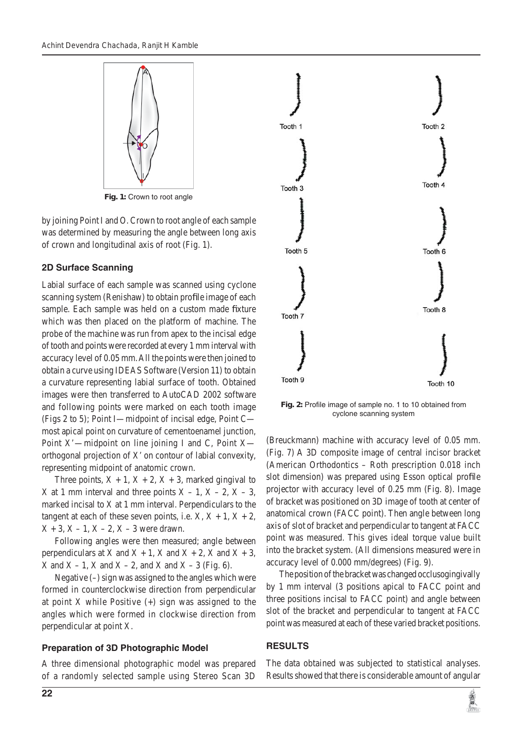

**Fig. 1:** Crown to root angle

by joining Point I and O. Crown to root angle of each sample was determined by measuring the angle between long axis of crown and longitudinal axis of root (Fig. 1).

# **2D Surface Scanning**

Labial surface of each sample was scanned using cyclone scanning system (Renishaw) to obtain profile image of each sample. Each sample was held on a custom made fixture which was then placed on the platform of machine. The probe of the machine was run from apex to the incisal edge of tooth and points were recorded at every 1 mm interval with accuracy level of 0.05 mm. All the points were then joined to obtain a curve using IDEAS Software (Version 11) to obtain a curvature representing labial surface of tooth. Obtained images were then transferred to AutoCAD 2002 software and following points were marked on each tooth image (Figs 2 to 5); Point I—midpoint of incisal edge, Point C most apical point on curvature of cementoenamel junction, Point X'—midpoint on line joining I and C, Point X orthogonal projection of X' on contour of labial convexity, representing midpoint of anatomic crown.

Three points,  $X + 1$ ,  $X + 2$ ,  $X + 3$ , marked gingival to X at 1 mm interval and three points  $X - 1$ ,  $X - 2$ ,  $X - 3$ , marked incisal to X at 1 mm interval. Perpendiculars to the tangent at each of these seven points, i.e.  $X, X + 1, X + 2$ ,  $X + 3$ ,  $X - 1$ ,  $X - 2$ ,  $X - 3$  were drawn.

Following angles were then measured; angle between perpendiculars at X and  $X + 1$ , X and  $X + 2$ , X and  $X + 3$ ,  $X$  and  $X - 1$ ,  $X$  and  $X - 2$ , and  $X$  and  $X - 3$  (Fig. 6).

Negative (–) sign was assigned to the angles which were formed in counterclockwise direction from perpendicular at point X while Positive  $(+)$  sign was assigned to the angles which were formed in clockwise direction from perpendicular at point X.

# **Preparation of 3D Photographic Model**

A three dimensional photographic model was prepared of a randomly selected sample using Stereo Scan 3D



Fig. 2: Profile image of sample no. 1 to 10 obtained from cyclone scanning system

(Breuckmann) machine with accuracy level of 0.05 mm. (Fig. 7) A 3D composite image of central incisor bracket (American Orthodontics – Roth prescription 0.018 inch slot dimension) was prepared using Esson optical profile projector with accuracy level of 0.25 mm (Fig. 8). Image of bracket was positioned on 3D image of tooth at center of anatomical crown (FACC point). Then angle between long axis of slot of bracket and perpendicular to tangent at FACC point was measured. This gives ideal torque value built into the bracket system. (All dimensions measured were in accuracy level of 0.000 mm/degrees) (Fig. 9).

The position of the bracket was changed occlusogingivally by 1 mm interval (3 positions apical to FACC point and three positions incisal to FACC point) and angle between slot of the bracket and perpendicular to tangent at FACC point was measured at each of these varied bracket positions.

# **RESULTS**

The data obtained was subjected to statistical analyses. Results showed that there is considerable amount of angular

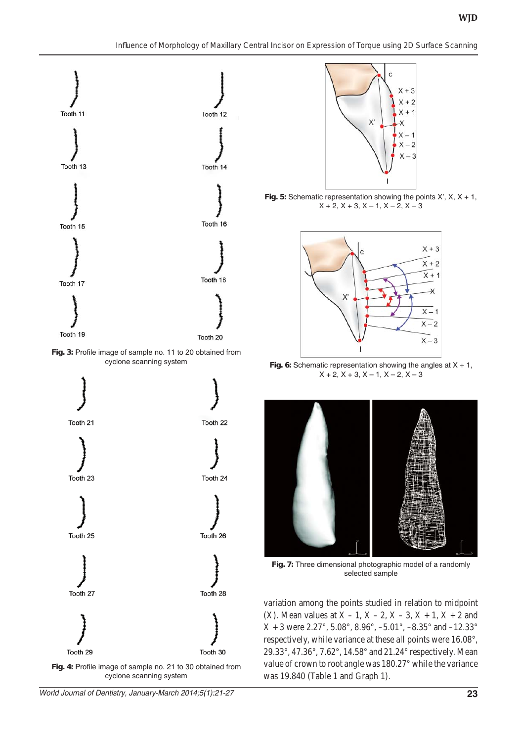

Fig. 3: Profile image of sample no. 11 to 20 obtained from cyclone scanning system



cyclone scanning system



**Fig. 5:** Schematic representation showing the points X', X, X + 1,  $X + 2, X + 3, X - 1, X - 2, X - 3$ 



**Fig. 6:** Schematic representation showing the angles at X + 1,  $X + 2, X + 3, X - 1, X - 2, X - 3$ 



**Fig. 7:** Three dimensional photographic model of a randomly selected sample

variation among the points studied in relation to midpoint (X). Mean values at  $X - 1$ ,  $X - 2$ ,  $X - 3$ ,  $X + 1$ ,  $X + 2$  and  $X + 3$  were 2.27°, 5.08°, 8.96°, -5.01°, -8.35° and -12.33° respectively, while variance at these all points were 16.08°, 29.33°, 47.36°, 7.62°, 14.58° and 21.24° respectively. Mean value of crown to root angle was 180.27° while the variance was 19.840 (Table 1 and Graph 1).

*World Journal of Dentistry, January-March 2014;5(1):21-27* **23**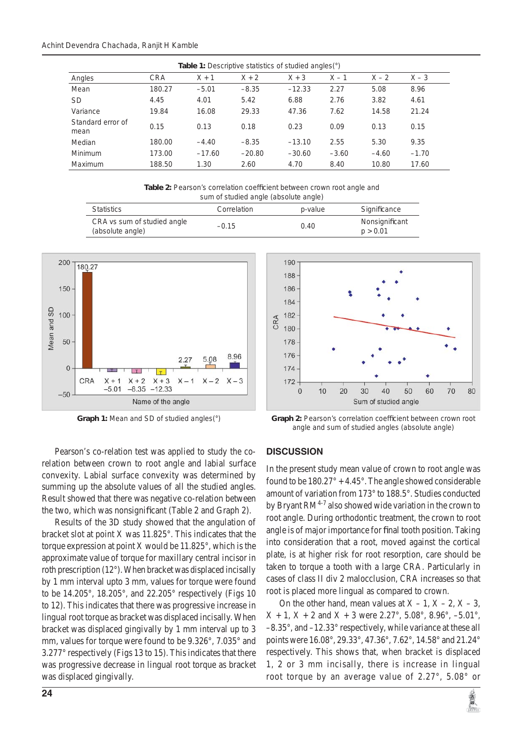| <b>Table 1:</b> Descriptive statistics of studied angles(°) |            |          |          |          |         |         |         |  |
|-------------------------------------------------------------|------------|----------|----------|----------|---------|---------|---------|--|
| Angles                                                      | <b>CRA</b> | $X + 1$  | $X + 2$  | $X + 3$  | $X - 1$ | $X - 2$ | $X - 3$ |  |
| Mean                                                        | 180.27     | $-5.01$  | $-8.35$  | $-12.33$ | 2.27    | 5.08    | 8.96    |  |
| <b>SD</b>                                                   | 4.45       | 4.01     | 5.42     | 6.88     | 2.76    | 3.82    | 4.61    |  |
| Variance                                                    | 19.84      | 16.08    | 29.33    | 47.36    | 7.62    | 14.58   | 21.24   |  |
| Standard error of<br>mean                                   | 0.15       | 0.13     | 0.18     | 0.23     | 0.09    | 0.13    | 0.15    |  |
| Median                                                      | 180.00     | $-4.40$  | $-8.35$  | $-13.10$ | 2.55    | 5.30    | 9.35    |  |
| Minimum                                                     | 173.00     | $-17.60$ | $-20.80$ | $-30.60$ | $-3.60$ | $-4.60$ | $-1.70$ |  |
| Maximum                                                     | 188.50     | 1.30     | 2.60     | 4.70     | 8.40    | 10.80   | 17.60   |  |

Table 2: Pearson's correlation coefficient between crown root angle and sum of studied angle (absolute angle)

| Statistics                                      | Correlation | p-value | Significance               |  |
|-------------------------------------------------|-------------|---------|----------------------------|--|
| CRA vs sum of studied angle<br>(absolute angle) | $-0.15$     | 0.40    | Nonsignificant<br>p > 0.01 |  |





Graph 1: Mean and SD of studied angles(°) **Graph 2: Pearson's correlation coefficient between crown root** angle and sum of studied angles (absolute angle)

Pearson's co-relation test was applied to study the corelation between crown to root angle and labial surface convexity. Labial surface convexity was determined by summing up the absolute values of all the studied angles. Result showed that there was negative co-relation between the two, which was nonsignificant (Table 2 and Graph 2).

Results of the 3D study showed that the angulation of bracket slot at point X was 11.825°. This indicates that the torque expression at point X would be 11.825°, which is the approximate value of torque for maxillary central incisor in roth prescription (12°). When bracket was displaced incisally by 1 mm interval upto 3 mm, values for torque were found to be 14.205°, 18.205°, and 22.205° respectively (Figs 10 to 12). This indicates that there was progressive increase in lingual root torque as bracket was displaced incisally. When bracket was displaced gingivally by 1 mm interval up to 3 mm, values for torque were found to be 9.326°, 7.035° and 3.277° respectively (Figs 13 to 15). This indicates that there was progressive decrease in lingual root torque as bracket was displaced gingivally.

# **DISCUSSION**

In the present study mean value of crown to root angle was found to be  $180.27^{\circ} + 4.45^{\circ}$ . The angle showed considerable amount of variation from 173° to 188.5°. Studies conducted by Bryant  $RM^{4-7}$  also showed wide variation in the crown to root angle. During orthodontic treatment, the crown to root angle is of major importance for final tooth position. Taking into consideration that a root, moved against the cortical plate, is at higher risk for root resorption, care should be taken to torque a tooth with a large CRA. Particularly in cases of class II div 2 malocclusion, CRA increases so that root is placed more lingual as compared to crown.

On the other hand, mean values at  $X - 1$ ,  $X - 2$ ,  $X - 3$ ,  $X + 1$ ,  $X + 2$  and  $X + 3$  were 2.27°, 5.08°, 8.96°, -5.01°, –8.35°, and –12.33° respectively, while variance at these all points were 16.08°, 29.33°, 47.36°, 7.62°, 14.58° and 21.24° respectively. This shows that, when bracket is displaced 1, 2 or 3 mm incisally, there is increase in lingual root torque by an average value of 2.27°, 5.08° or

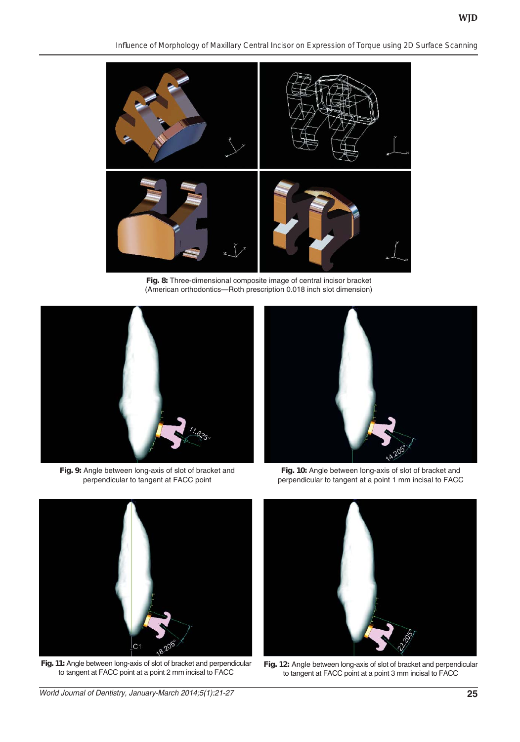*Infl uence of Morphology of Maxillary Central Incisor on Expression of Torque using 2D Surface Scanning*



**Fig. 8:** Three-dimensional composite image of central incisor bracket (American orthodontics—Roth prescription 0.018 inch slot dimension)



**Fig. 9:** Angle between long-axis of slot of bracket and perpendicular to tangent at FACC point



**Fig. 10:** Angle between long-axis of slot of bracket and perpendicular to tangent at a point 1 mm incisal to FACC



**Fig. 11:** Angle between long-axis of slot of bracket and perpendicular to tangent at FACC point at a point 2 mm incisal to FACC



**Fig. 12:** Angle between long-axis of slot of bracket and perpendicular to tangent at FACC point at a point 3 mm incisal to FACC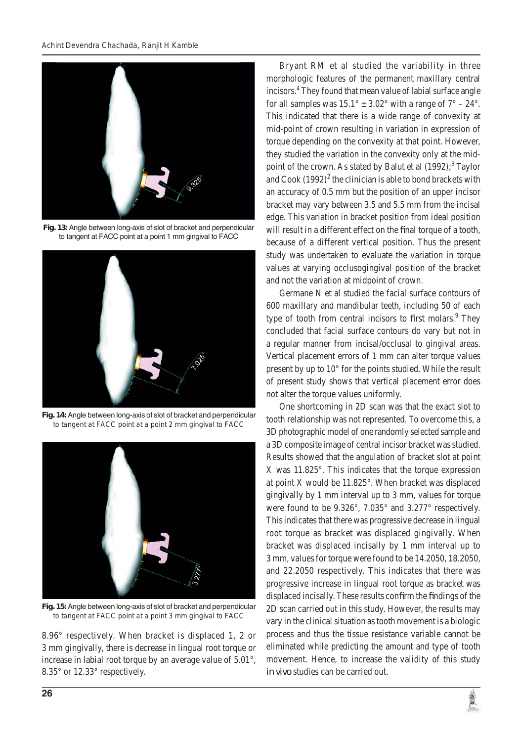

**Fig. 13:** Angle between long-axis of slot of bracket and perpendicular to tangent at FACC point at a point 1 mm gingival to FACC



**Fig. 14:** Angle between long-axis of slot of bracket and perpendicular to tangent at FACC point at a point 2 mm gingival to FACC



**Fig. 15:** Angle between long-axis of slot of bracket and perpendicular to tangent at FACC point at a point 3 mm gingival to FACC

8.96° respectively. When bracket is displaced 1, 2 or 3 mm gingivally, there is decrease in lingual root torque or increase in labial root torque by an average value of 5.01°, 8.35° or 12.33° respectively.

Bryant RM et al studied the variability in three morphologic features of the permanent maxillary central incisors.4 They found that mean value of labial surface angle for all samples was  $15.1^{\circ} \pm 3.02^{\circ}$  with a range of  $7^{\circ} - 24^{\circ}$ . This indicated that there is a wide range of convexity at mid-point of crown resulting in variation in expression of torque depending on the convexity at that point. However, they studied the variation in the convexity only at the midpoint of the crown. As stated by Balut et al (1992);<sup>8</sup> Taylor and  $\text{Cook } (1992)^2$  the clinician is able to bond brackets with an accuracy of 0.5 mm but the position of an upper incisor bracket may vary between 3.5 and 5.5 mm from the incisal edge. This variation in bracket position from ideal position will result in a different effect on the final torque of a tooth, because of a different vertical position. Thus the present study was undertaken to evaluate the variation in torque values at varying occlusogingival position of the bracket and not the variation at midpoint of crown.

Germane N et al studied the facial surface contours of 600 maxillary and mandibular teeth, including 50 of each type of tooth from central incisors to first molars.<sup>9</sup> They concluded that facial surface contours do vary but not in a regular manner from incisal/occlusal to gingival areas. Vertical placement errors of 1 mm can alter torque values present by up to 10° for the points studied. While the result of present study shows that vertical placement error does not alter the torque values uniformly.

One shortcoming in 2D scan was that the exact slot to tooth relationship was not represented. To overcome this, a 3D photographic model of one randomly selected sample and a 3D composite image of central incisor bracket was studied. Results showed that the angulation of bracket slot at point X was 11.825°. This indicates that the torque expression at point X would be 11.825°. When bracket was displaced gingivally by 1 mm interval up to 3 mm, values for torque were found to be 9.326°, 7.035° and 3.277° respectively. This indicates that there was progressive decrease in lingual root torque as bracket was displaced gingivally. When bracket was displaced incisally by 1 mm interval up to 3 mm, values for torque were found to be 14.2050, 18.2050, and 22.2050 respectively. This indicates that there was progressive increase in lingual root torque as bracket was displaced incisally. These results confirm the findings of the 2D scan carried out in this study. However, the results may vary in the clinical situation as tooth movement is a biologic process and thus the tissue resistance variable cannot be eliminated while predicting the amount and type of tooth movement. Hence, to increase the validity of this study *in vivo* studies can be carried out.